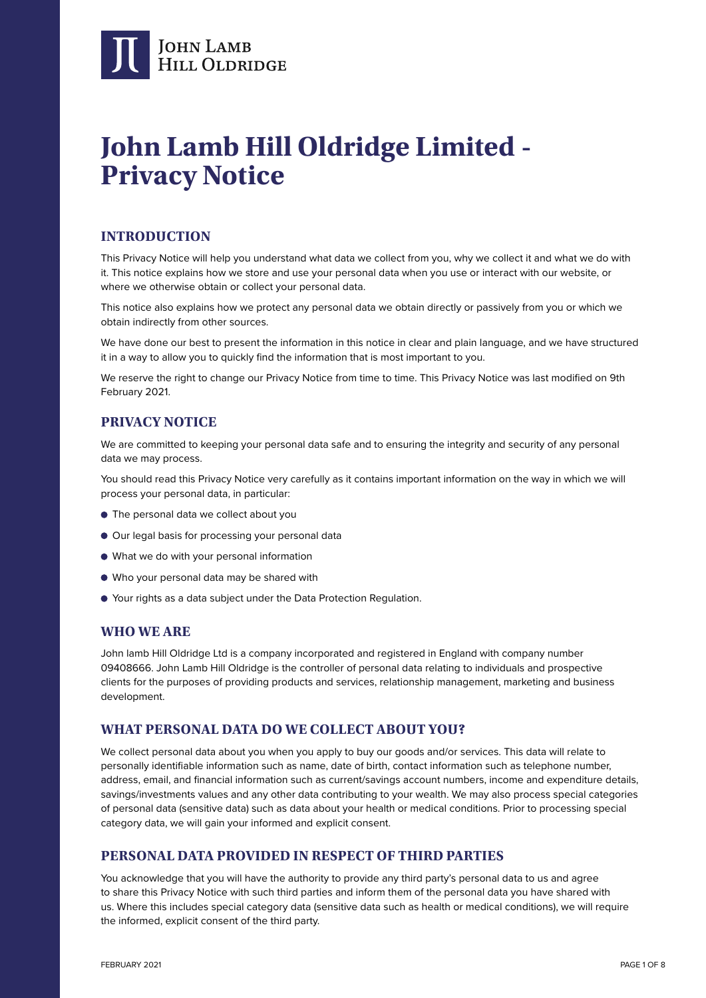

# **John Lamb Hill Oldridge Limited - Privacy Notice**

# **INTRODUCTION**

This Privacy Notice will help you understand what data we collect from you, why we collect it and what we do with it. This notice explains how we store and use your personal data when you use or interact with our website, or where we otherwise obtain or collect your personal data.

This notice also explains how we protect any personal data we obtain directly or passively from you or which we obtain indirectly from other sources.

We have done our best to present the information in this notice in clear and plain language, and we have structured it in a way to allow you to quickly find the information that is most important to you.

We reserve the right to change our Privacy Notice from time to time. This Privacy Notice was last modified on 9th February 2021.

# **PRIVACY NOTICE**

We are committed to keeping your personal data safe and to ensuring the integrity and security of any personal data we may process.

You should read this Privacy Notice very carefully as it contains important information on the way in which we will process your personal data, in particular:

- The personal data we collect about you
- $\bullet$  Our legal basis for processing your personal data
- What we do with your personal information
- Who your personal data may be shared with
- Your rights as a data subject under the Data Protection Regulation.

### **WHO WE ARE**

John lamb Hill Oldridge Ltd is a company incorporated and registered in England with company number 09408666. John Lamb Hill Oldridge is the controller of personal data relating to individuals and prospective clients for the purposes of providing products and services, relationship management, marketing and business development.

# **WHAT PERSONAL DATA DO WE COLLECT ABOUT YOU?**

We collect personal data about you when you apply to buy our goods and/or services. This data will relate to personally identifiable information such as name, date of birth, contact information such as telephone number, address, email, and financial information such as current/savings account numbers, income and expenditure details, savings/investments values and any other data contributing to your wealth. We may also process special categories of personal data (sensitive data) such as data about your health or medical conditions. Prior to processing special category data, we will gain your informed and explicit consent.

### **PERSONAL DATA PROVIDED IN RESPECT OF THIRD PARTIES**

You acknowledge that you will have the authority to provide any third party's personal data to us and agree to share this Privacy Notice with such third parties and inform them of the personal data you have shared with us. Where this includes special category data (sensitive data such as health or medical conditions), we will require the informed, explicit consent of the third party.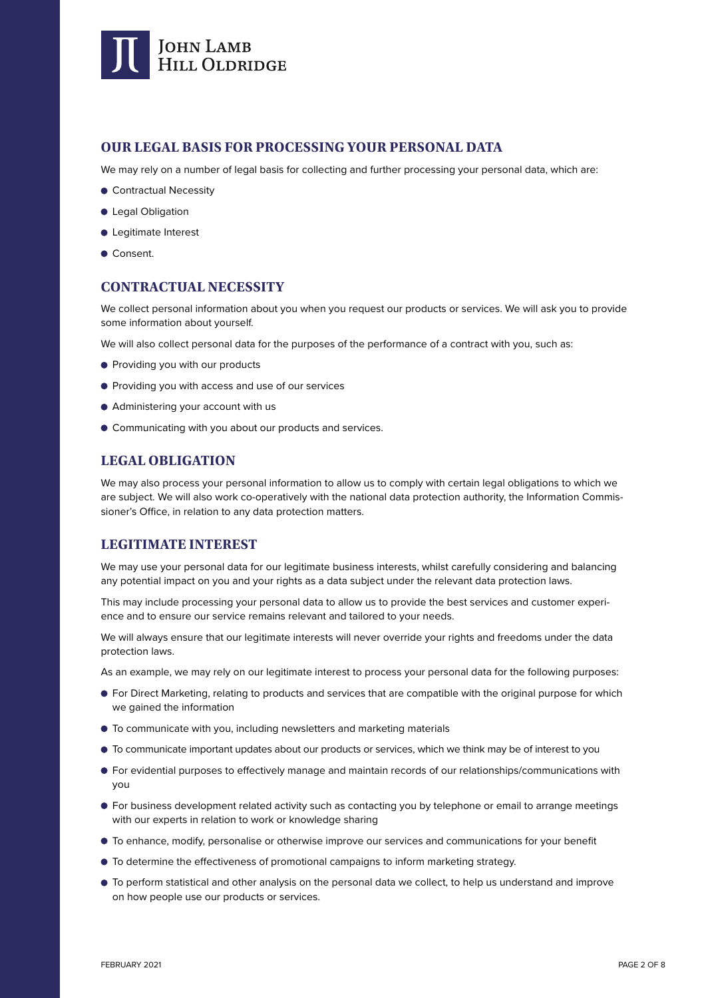

# **OUR LEGAL BASIS FOR PROCESSING YOUR PERSONAL DATA**

We may rely on a number of legal basis for collecting and further processing your personal data, which are:

- Contractual Necessity
- **Legal Obligation**
- Legitimate Interest
- Consent.

### **CONTRACTUAL NECESSITY**

We collect personal information about you when you request our products or services. We will ask you to provide some information about yourself.

We will also collect personal data for the purposes of the performance of a contract with you, such as:

- **Providing you with our products**
- **Providing you with access and use of our services**
- Administering your account with us
- Communicating with you about our products and services.

# **LEGAL OBLIGATION**

We may also process your personal information to allow us to comply with certain legal obligations to which we are subject. We will also work co-operatively with the national data protection authority, the Information Commissioner's Office, in relation to any data protection matters.

# **LEGITIMATE INTEREST**

We may use your personal data for our legitimate business interests, whilst carefully considering and balancing any potential impact on you and your rights as a data subject under the relevant data protection laws.

This may include processing your personal data to allow us to provide the best services and customer experience and to ensure our service remains relevant and tailored to your needs.

We will always ensure that our legitimate interests will never override your rights and freedoms under the data protection laws.

As an example, we may rely on our legitimate interest to process your personal data for the following purposes:

- For Direct Marketing, relating to products and services that are compatible with the original purpose for which we gained the information
- To communicate with you, including newsletters and marketing materials
- To communicate important updates about our products or services, which we think may be of interest to you
- For evidential purposes to effectively manage and maintain records of our relationships/communications with you
- For business development related activity such as contacting you by telephone or email to arrange meetings with our experts in relation to work or knowledge sharing
- To enhance, modify, personalise or otherwise improve our services and communications for your benefit
- $\bullet$  To determine the effectiveness of promotional campaigns to inform marketing strategy.
- To perform statistical and other analysis on the personal data we collect, to help us understand and improve on how people use our products or services.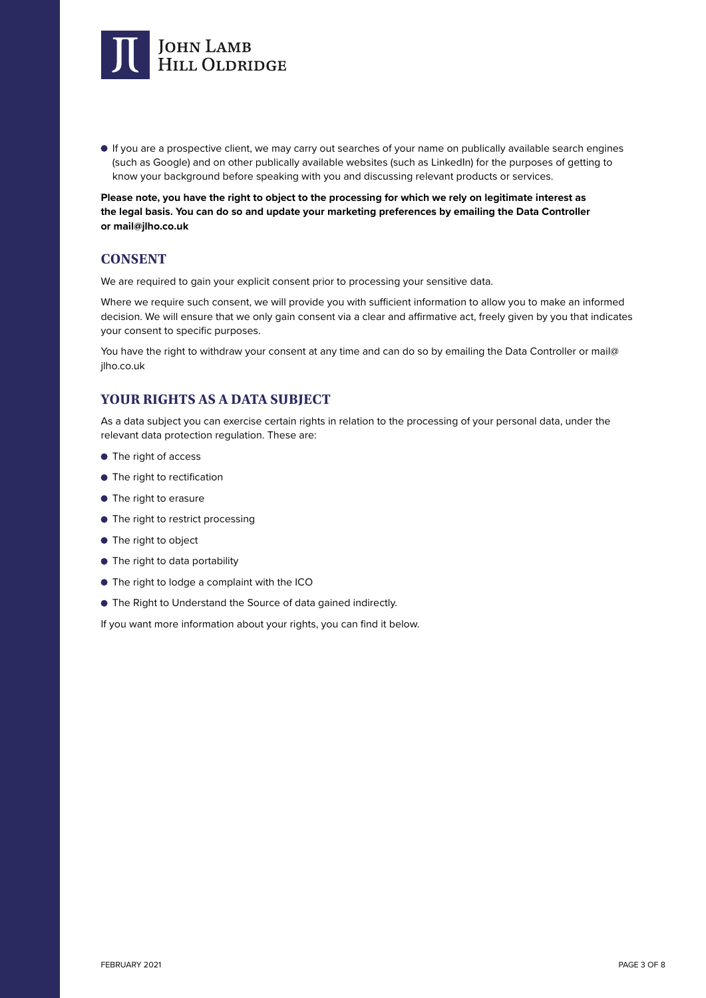

 If you are a prospective client, we may carry out searches of your name on publically available search engines (such as Google) and on other publically available websites (such as LinkedIn) for the purposes of getting to know your background before speaking with you and discussing relevant products or services.

**Please note, you have the right to object to the processing for which we rely on legitimate interest as the legal basis. You can do so and update your marketing preferences by emailing the Data Controller or mail@jlho.co.uk**

# **CONSENT**

We are required to gain your explicit consent prior to processing your sensitive data.

Where we require such consent, we will provide you with sufficient information to allow you to make an informed decision. We will ensure that we only gain consent via a clear and affirmative act, freely given by you that indicates your consent to specific purposes.

You have the right to withdraw your consent at any time and can do so by emailing the Data Controller or mail@ jlho.co.uk

# **YOUR RIGHTS AS A DATA SUBJECT**

As a data subject you can exercise certain rights in relation to the processing of your personal data, under the relevant data protection regulation. These are:

- The right of access
- $\bullet$  The right to rectification
- **•** The right to erasure
- $\bullet$  The right to restrict processing
- **•** The right to object
- $\bullet$  The right to data portability
- The right to lodge a complaint with the ICO
- The Right to Understand the Source of data gained indirectly.

If you want more information about your rights, you can find it below.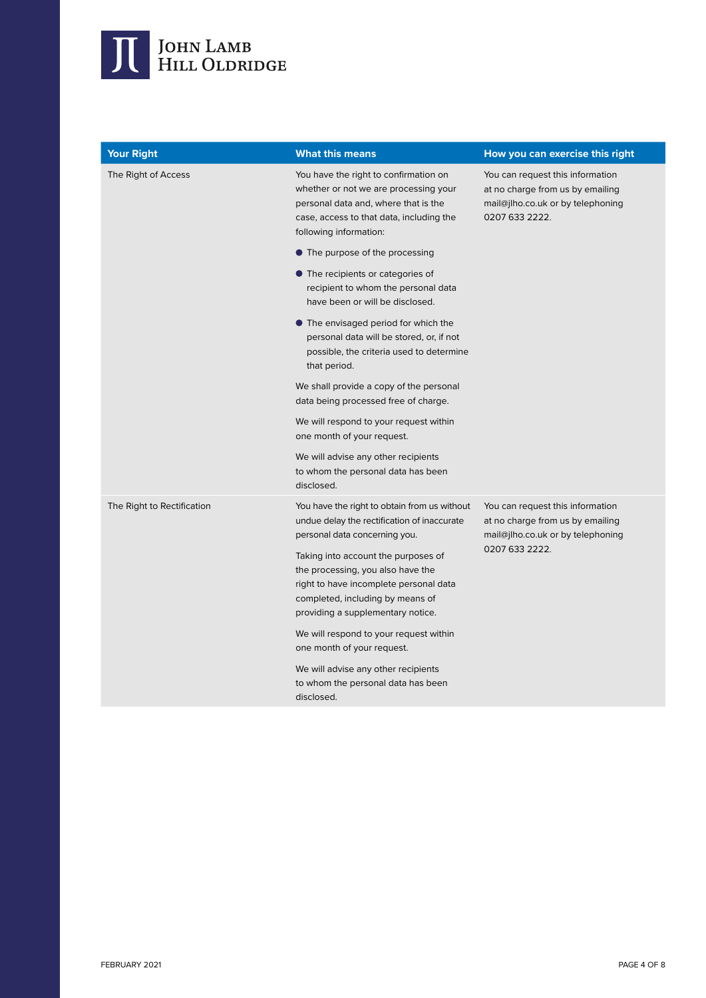

| <b>Your Right</b>          | <b>What this means</b>                                                                                                                                                                       | How you can exercise this right                                                                                             |
|----------------------------|----------------------------------------------------------------------------------------------------------------------------------------------------------------------------------------------|-----------------------------------------------------------------------------------------------------------------------------|
| The Right of Access        | You have the right to confirmation on<br>whether or not we are processing your<br>personal data and, where that is the<br>case, access to that data, including the<br>following information: | You can request this information<br>at no charge from us by emailing<br>mail@jlho.co.uk or by telephoning<br>0207 633 2222. |
|                            | • The purpose of the processing                                                                                                                                                              |                                                                                                                             |
|                            | • The recipients or categories of<br>recipient to whom the personal data<br>have been or will be disclosed.                                                                                  |                                                                                                                             |
|                            | • The envisaged period for which the<br>personal data will be stored, or, if not<br>possible, the criteria used to determine<br>that period.                                                 |                                                                                                                             |
|                            | We shall provide a copy of the personal<br>data being processed free of charge.                                                                                                              |                                                                                                                             |
|                            | We will respond to your request within<br>one month of your request.                                                                                                                         |                                                                                                                             |
|                            | We will advise any other recipients<br>to whom the personal data has been<br>disclosed.                                                                                                      |                                                                                                                             |
| The Right to Rectification | You have the right to obtain from us without<br>undue delay the rectification of inaccurate<br>personal data concerning you.                                                                 | You can request this information<br>at no charge from us by emailing<br>mail@jlho.co.uk or by telephoning<br>0207 633 2222. |
|                            | Taking into account the purposes of<br>the processing, you also have the<br>right to have incomplete personal data<br>completed, including by means of<br>providing a supplementary notice.  |                                                                                                                             |
|                            | We will respond to your request within<br>one month of your request.                                                                                                                         |                                                                                                                             |
|                            | We will advise any other recipients<br>to whom the personal data has been<br>disclosed.                                                                                                      |                                                                                                                             |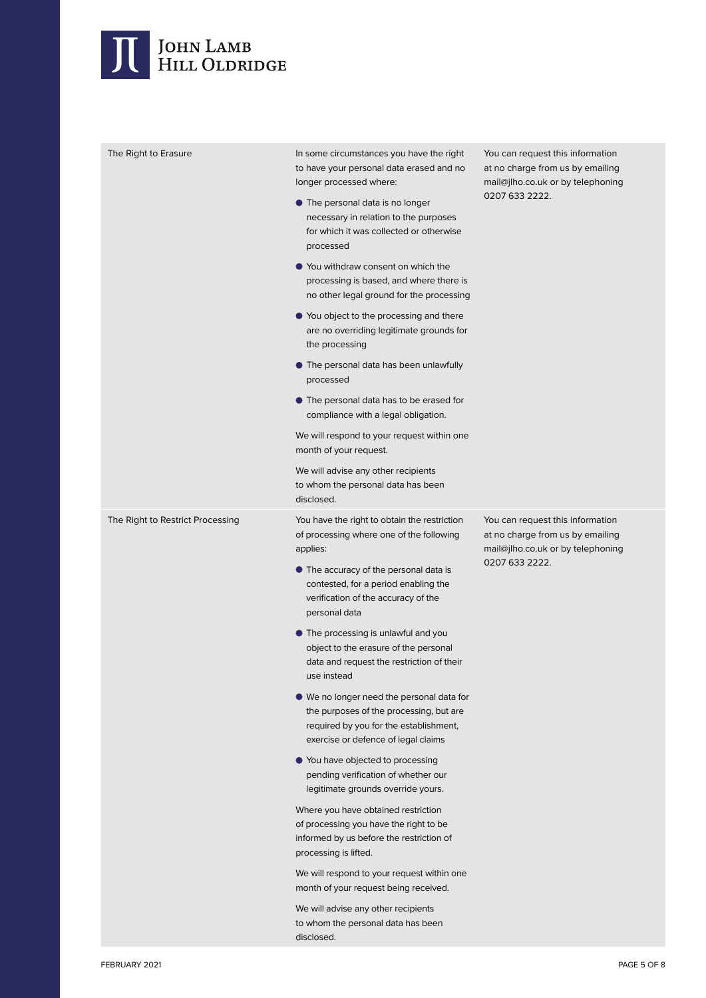# JOHN LAMB<br>HILL OLDRIDGE

| The Right to Erasure             | In some circumstances you have the right<br>to have your personal data erased and no<br>longer processed where:                                                       | You can request this information<br>at no charge from us by emailing<br>mail@jlho.co.uk or by telephoning<br>0207 633 2222. |
|----------------------------------|-----------------------------------------------------------------------------------------------------------------------------------------------------------------------|-----------------------------------------------------------------------------------------------------------------------------|
|                                  | • The personal data is no longer<br>necessary in relation to the purposes<br>for which it was collected or otherwise<br>processed                                     |                                                                                                                             |
|                                  | ● You withdraw consent on which the<br>processing is based, and where there is<br>no other legal ground for the processing                                            |                                                                                                                             |
|                                  | ● You object to the processing and there<br>are no overriding legitimate grounds for<br>the processing                                                                |                                                                                                                             |
|                                  | • The personal data has been unlawfully<br>processed                                                                                                                  |                                                                                                                             |
|                                  | • The personal data has to be erased for<br>compliance with a legal obligation.                                                                                       |                                                                                                                             |
|                                  | We will respond to your request within one<br>month of your request.                                                                                                  |                                                                                                                             |
|                                  | We will advise any other recipients<br>to whom the personal data has been<br>disclosed.                                                                               |                                                                                                                             |
| The Right to Restrict Processing | You have the right to obtain the restriction<br>of processing where one of the following                                                                              | You can request this information<br>at no charge from us by emailing<br>mail@jlho.co.uk or by telephoning                   |
|                                  | applies:                                                                                                                                                              |                                                                                                                             |
|                                  | • The accuracy of the personal data is<br>contested, for a period enabling the<br>verification of the accuracy of the<br>personal data                                | 0207 633 2222.                                                                                                              |
|                                  | • The processing is unlawful and you<br>object to the erasure of the personal<br>data and request the restriction of their<br>use instead                             |                                                                                                                             |
|                                  | ● We no longer need the personal data for<br>the purposes of the processing, but are<br>required by you for the establishment,<br>exercise or defence of legal claims |                                                                                                                             |
|                                  | ● You have objected to processing<br>pending verification of whether our<br>legitimate grounds override yours.                                                        |                                                                                                                             |
|                                  | Where you have obtained restriction<br>of processing you have the right to be<br>informed by us before the restriction of<br>processing is lifted.                    |                                                                                                                             |
|                                  | We will respond to your request within one<br>month of your request being received.                                                                                   |                                                                                                                             |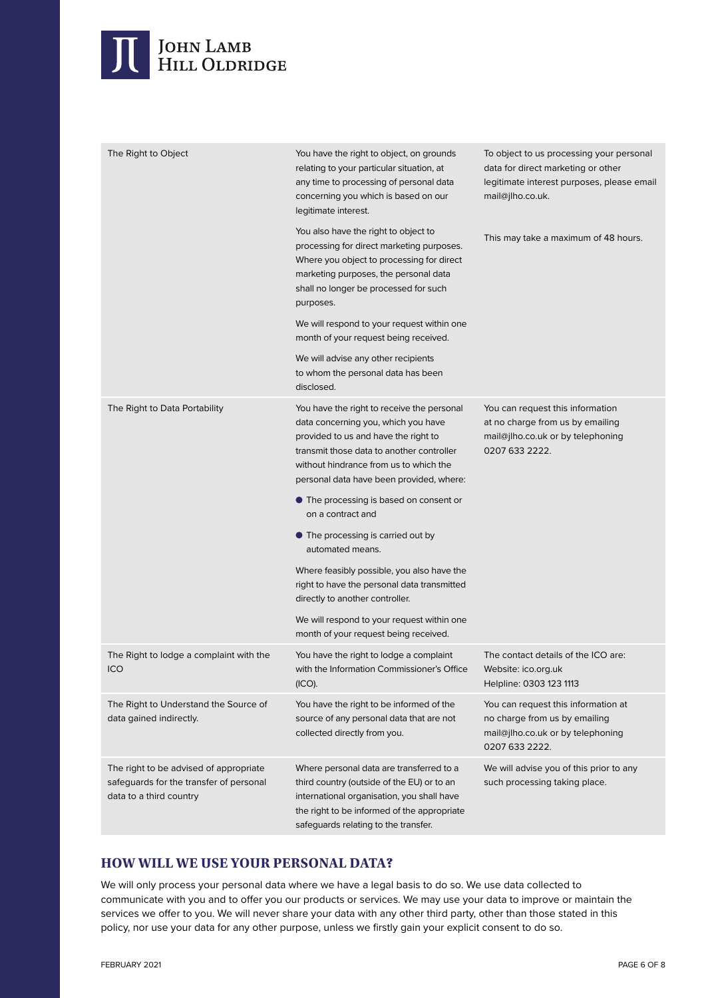# JOHN LAMB<br>HILL OLDRIDGE

| The Right to Object                                                                                          | You have the right to object, on grounds<br>relating to your particular situation, at<br>any time to processing of personal data<br>concerning you which is based on our<br>legitimate interest.                                                             | To object to us processing your personal<br>data for direct marketing or other<br>legitimate interest purposes, please email<br>mail@jlho.co.uk. |
|--------------------------------------------------------------------------------------------------------------|--------------------------------------------------------------------------------------------------------------------------------------------------------------------------------------------------------------------------------------------------------------|--------------------------------------------------------------------------------------------------------------------------------------------------|
|                                                                                                              | You also have the right to object to<br>processing for direct marketing purposes.<br>Where you object to processing for direct<br>marketing purposes, the personal data<br>shall no longer be processed for such<br>purposes.                                | This may take a maximum of 48 hours.                                                                                                             |
|                                                                                                              | We will respond to your request within one<br>month of your request being received.                                                                                                                                                                          |                                                                                                                                                  |
|                                                                                                              | We will advise any other recipients<br>to whom the personal data has been<br>disclosed.                                                                                                                                                                      |                                                                                                                                                  |
| The Right to Data Portability                                                                                | You have the right to receive the personal<br>data concerning you, which you have<br>provided to us and have the right to<br>transmit those data to another controller<br>without hindrance from us to which the<br>personal data have been provided, where: | You can request this information<br>at no charge from us by emailing<br>mail@jlho.co.uk or by telephoning<br>0207 633 2222.                      |
|                                                                                                              | • The processing is based on consent or<br>on a contract and                                                                                                                                                                                                 |                                                                                                                                                  |
|                                                                                                              | • The processing is carried out by<br>automated means.                                                                                                                                                                                                       |                                                                                                                                                  |
|                                                                                                              | Where feasibly possible, you also have the<br>right to have the personal data transmitted<br>directly to another controller.                                                                                                                                 |                                                                                                                                                  |
|                                                                                                              | We will respond to your request within one<br>month of your request being received.                                                                                                                                                                          |                                                                                                                                                  |
| The Right to lodge a complaint with the<br>ICO                                                               | You have the right to lodge a complaint<br>with the Information Commissioner's Office<br>(ICO).                                                                                                                                                              | The contact details of the ICO are:<br>Website: ico.org.uk<br>Helpline: 0303 123 1113                                                            |
| The Right to Understand the Source of<br>data gained indirectly.                                             | You have the right to be informed of the<br>source of any personal data that are not<br>collected directly from you.                                                                                                                                         | You can request this information at<br>no charge from us by emailing<br>mail@jlho.co.uk or by telephoning<br>0207 633 2222.                      |
| The right to be advised of appropriate<br>safeguards for the transfer of personal<br>data to a third country | Where personal data are transferred to a<br>third country (outside of the EU) or to an<br>international organisation, you shall have<br>the right to be informed of the appropriate<br>safeguards relating to the transfer.                                  | We will advise you of this prior to any<br>such processing taking place.                                                                         |

# **HOW WILL WE USE YOUR PERSONAL DATA?**

We will only process your personal data where we have a legal basis to do so. We use data collected to communicate with you and to offer you our products or services. We may use your data to improve or maintain the services we offer to you. We will never share your data with any other third party, other than those stated in this policy, nor use your data for any other purpose, unless we firstly gain your explicit consent to do so.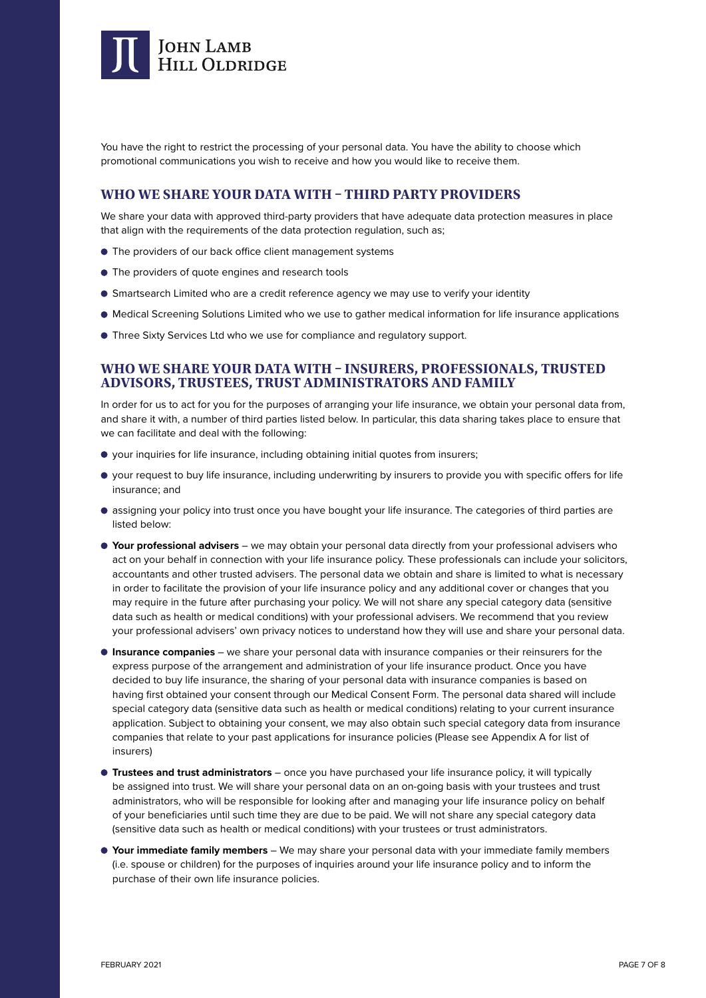

You have the right to restrict the processing of your personal data. You have the ability to choose which promotional communications you wish to receive and how you would like to receive them.

### **WHO WE SHARE YOUR DATA WITH – THIRD PARTY PROVIDERS**

We share your data with approved third-party providers that have adequate data protection measures in place that align with the requirements of the data protection regulation, such as;

- The providers of our back office client management systems
- $\bullet$  The providers of quote engines and research tools
- Smartsearch Limited who are a credit reference agency we may use to verify your identity
- Medical Screening Solutions Limited who we use to gather medical information for life insurance applications
- Three Sixty Services Ltd who we use for compliance and regulatory support.

#### **WHO WE SHARE YOUR DATA WITH – INSURERS, PROFESSIONALS, TRUSTED ADVISORS, TRUSTEES, TRUST ADMINISTRATORS AND FAMILY**

In order for us to act for you for the purposes of arranging your life insurance, we obtain your personal data from, and share it with, a number of third parties listed below. In particular, this data sharing takes place to ensure that we can facilitate and deal with the following:

- your inquiries for life insurance, including obtaining initial quotes from insurers;
- your request to buy life insurance, including underwriting by insurers to provide you with specific offers for life insurance; and
- assigning your policy into trust once you have bought your life insurance. The categories of third parties are listed below:
- **Your professional advisers** we may obtain your personal data directly from your professional advisers who act on your behalf in connection with your life insurance policy. These professionals can include your solicitors, accountants and other trusted advisers. The personal data we obtain and share is limited to what is necessary in order to facilitate the provision of your life insurance policy and any additional cover or changes that you may require in the future after purchasing your policy. We will not share any special category data (sensitive data such as health or medical conditions) with your professional advisers. We recommend that you review your professional advisers' own privacy notices to understand how they will use and share your personal data.
- **Insurance companies** we share your personal data with insurance companies or their reinsurers for the express purpose of the arrangement and administration of your life insurance product. Once you have decided to buy life insurance, the sharing of your personal data with insurance companies is based on having first obtained your consent through our Medical Consent Form. The personal data shared will include special category data (sensitive data such as health or medical conditions) relating to your current insurance application. Subject to obtaining your consent, we may also obtain such special category data from insurance companies that relate to your past applications for insurance policies (Please see Appendix A for list of insurers)
- **Trustees and trust administrators**  once you have purchased your life insurance policy, it will typically be assigned into trust. We will share your personal data on an on-going basis with your trustees and trust administrators, who will be responsible for looking after and managing your life insurance policy on behalf of your beneficiaries until such time they are due to be paid. We will not share any special category data (sensitive data such as health or medical conditions) with your trustees or trust administrators.
- **Your immediate family members**  We may share your personal data with your immediate family members (i.e. spouse or children) for the purposes of inquiries around your life insurance policy and to inform the purchase of their own life insurance policies.